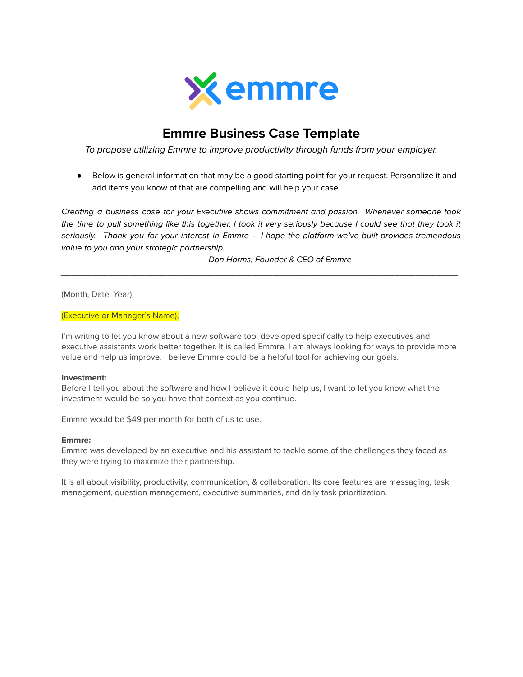

# **Emmre Business Case Template**

To propose utilizing Emmre to improve productivity through funds from your employer.

● Below is general information that may be a good starting point for your request. Personalize it and add items you know of that are compelling and will help your case.

Creating a business case for your Executive shows commitment and passion. Whenever someone took the time to pull something like this together, I took it very seriously because I could see that they took it seriously. Thank you for your interest in Emmre - I hope the platform we've built provides tremendous value to you and your strategic partnership.

\_\_\_\_\_\_\_\_\_\_\_\_\_\_\_\_\_\_\_\_\_\_\_\_\_\_\_\_\_\_\_\_\_\_\_\_\_\_\_\_\_\_\_\_\_\_\_\_\_\_\_\_\_\_\_\_\_\_\_\_\_\_\_\_\_\_\_\_\_\_\_\_\_\_\_

- Don Harms, Founder & CEO of Emmre

(Month, Date, Year)

(Executive or Manager's Name),

I'm writing to let you know about a new software tool developed specifically to help executives and executive assistants work better together. It is called Emmre. I am always looking for ways to provide more value and help us improve. I believe Emmre could be a helpful tool for achieving our goals.

#### **Investment:**

Before I tell you about the software and how I believe it could help us, I want to let you know what the investment would be so you have that context as you continue.

Emmre would be \$49 per month for both of us to use.

#### **Emmre:**

Emmre was developed by an executive and his assistant to tackle some of the challenges they faced as they were trying to maximize their partnership.

It is all about visibility, productivity, communication, & collaboration. Its core features are messaging, task management, question management, executive summaries, and daily task prioritization.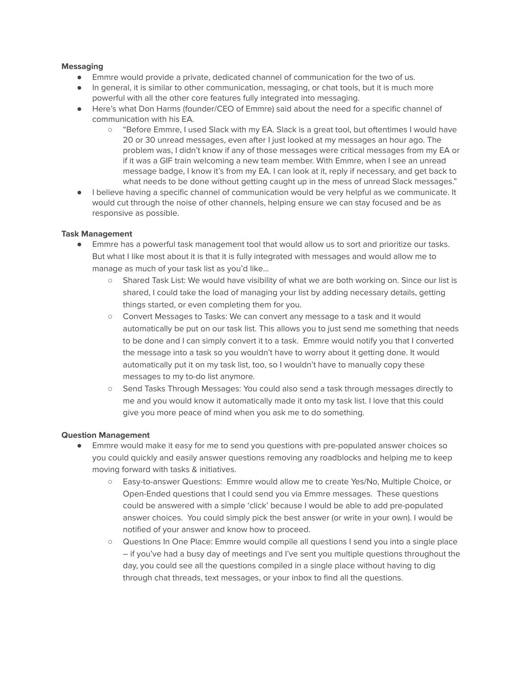# **Messaging**

- Emmre would provide a private, dedicated channel of communication for the two of us.
- In general, it is similar to other communication, messaging, or chat tools, but it is much more powerful with all the other core features fully integrated into messaging.
- Here's what Don Harms (founder/CEO of Emmre) said about the need for a specific channel of communication with his EA.
	- "Before Emmre, I used Slack with my EA. Slack is a great tool, but oftentimes I would have 20 or 30 unread messages, even after I just looked at my messages an hour ago. The problem was, I didn't know if any of those messages were critical messages from my EA or if it was a GIF train welcoming a new team member. With Emmre, when I see an unread message badge, I know it's from my EA. I can look at it, reply if necessary, and get back to what needs to be done without getting caught up in the mess of unread Slack messages."
- I believe having a specific channel of communication would be very helpful as we communicate. It would cut through the noise of other channels, helping ensure we can stay focused and be as responsive as possible.

# **Task Management**

- Emmre has a powerful task management tool that would allow us to sort and prioritize our tasks. But what I like most about it is that it is fully integrated with messages and would allow me to manage as much of your task list as you'd like...
	- Shared Task List: We would have visibility of what we are both working on. Since our list is shared, I could take the load of managing your list by adding necessary details, getting things started, or even completing them for you.
	- Convert Messages to Tasks: We can convert any message to a task and it would automatically be put on our task list. This allows you to just send me something that needs to be done and I can simply convert it to a task. Emmre would notify you that I converted the message into a task so you wouldn't have to worry about it getting done. It would automatically put it on my task list, too, so I wouldn't have to manually copy these messages to my to-do list anymore.
	- Send Tasks Through Messages: You could also send a task through messages directly to me and you would know it automatically made it onto my task list. I love that this could give you more peace of mind when you ask me to do something.

## **Question Management**

- Emmre would make it easy for me to send you questions with pre-populated answer choices so you could quickly and easily answer questions removing any roadblocks and helping me to keep moving forward with tasks & initiatives.
	- Easy-to-answer Questions: Emmre would allow me to create Yes/No, Multiple Choice, or Open-Ended questions that I could send you via Emmre messages. These questions could be answered with a simple 'click' because I would be able to add pre-populated answer choices. You could simply pick the best answer (or write in your own). I would be notified of your answer and know how to proceed.
	- Questions In One Place: Emmre would compile all questions I send you into a single place – if you've had a busy day of meetings and I've sent you multiple questions throughout the day, you could see all the questions compiled in a single place without having to dig through chat threads, text messages, or your inbox to find all the questions.